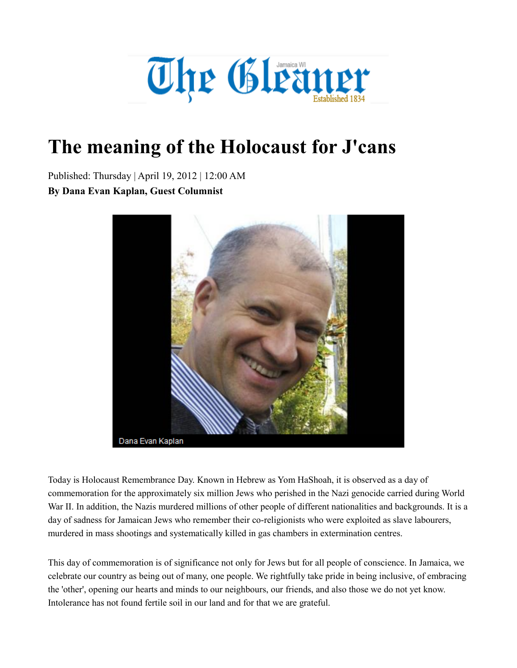

## **The meaning of the Holocaust for J'cans**

Published: Thursday | April 19, 2012 | 12:00 AM **By Dana Evan Kaplan, Guest Columnist**



Today is Holocaust Remembrance Day. Known in Hebrew as Yom HaShoah, it is observed as a day of commemoration for the approximately six million Jews who perished in the Nazi genocide carried during World War II. In addition, the Nazis murdered millions of other people of different nationalities and backgrounds. It is a day of sadness for Jamaican Jews who remember their co-religionists who were exploited as slave labourers, murdered in mass shootings and systematically killed in gas chambers in extermination centres.

This day of commemoration is of significance not only for Jews but for all people of conscience. In Jamaica, we celebrate our country as being out of many, one people. We rightfully take pride in being inclusive, of embracing the 'other', opening our hearts and minds to our neighbours, our friends, and also those we do not yet know. Intolerance has not found fertile soil in our land and for that we are grateful.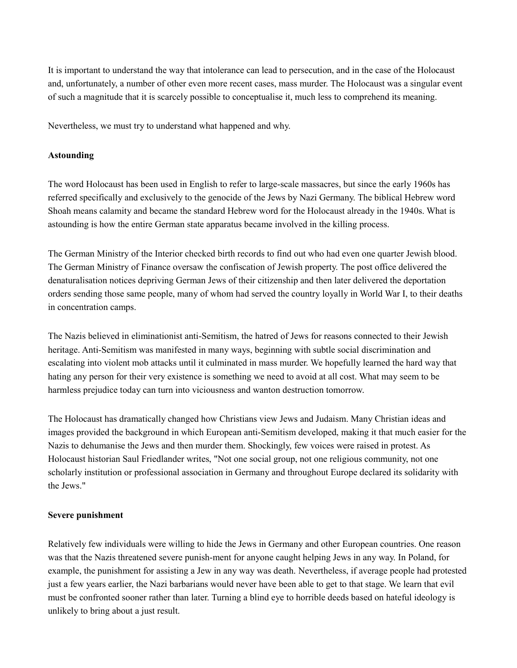It is important to understand the way that intolerance can lead to persecution, and in the case of the Holocaust and, unfortunately, a number of other even more recent cases, mass murder. The Holocaust was a singular event of such a magnitude that it is scarcely possible to conceptualise it, much less to comprehend its meaning.

Nevertheless, we must try to understand what happened and why.

## **Astounding**

The word Holocaust has been used in English to refer to large-scale massacres, but since the early 1960s has referred specifically and exclusively to the genocide of the Jews by Nazi Germany. The biblical Hebrew word Shoah means calamity and became the standard Hebrew word for the Holocaust already in the 1940s. What is astounding is how the entire German state apparatus became involved in the killing process.

The German Ministry of the Interior checked birth records to find out who had even one quarter Jewish blood. The German Ministry of Finance oversaw the confiscation of Jewish property. The post office delivered the denaturalisation notices depriving German Jews of their citizenship and then later delivered the deportation orders sending those same people, many of whom had served the country loyally in World War I, to their deaths in concentration camps.

The Nazis believed in eliminationist anti-Semitism, the hatred of Jews for reasons connected to their Jewish heritage. Anti-Semitism was manifested in many ways, beginning with subtle social discrimination and escalating into violent mob attacks until it culminated in mass murder. We hopefully learned the hard way that hating any person for their very existence is something we need to avoid at all cost. What may seem to be harmless prejudice today can turn into viciousness and wanton destruction tomorrow.

The Holocaust has dramatically changed how Christians view Jews and Judaism. Many Christian ideas and images provided the background in which European anti-Semitism developed, making it that much easier for the Nazis to dehumanise the Jews and then murder them. Shockingly, few voices were raised in protest. As Holocaust historian Saul Friedlander writes, "Not one social group, not one religious community, not one scholarly institution or professional association in Germany and throughout Europe declared its solidarity with the Jews."

## **Severe punishment**

Relatively few individuals were willing to hide the Jews in Germany and other European countries. One reason was that the Nazis threatened severe punish-ment for anyone caught helping Jews in any way. In Poland, for example, the punishment for assisting a Jew in any way was death. Nevertheless, if average people had protested just a few years earlier, the Nazi barbarians would never have been able to get to that stage. We learn that evil must be confronted sooner rather than later. Turning a blind eye to horrible deeds based on hateful ideology is unlikely to bring about a just result.